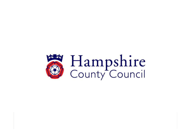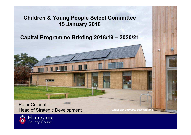### Children & Young People Select Committee15 January 2018

#### Capital Programme Briefing 2018/19 – 2020/21

Peter ColenuttHead of Strategic Development

Castle Hill Primary, Basingstoke

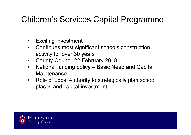# Children's Services Capital Programme

- •Exciting investment
- $\bullet$  Continues most significant schools construction activity for over 30 years
- County Council 22 February 2018•
- National funding policy Basic Need and Capital •**Maintenance**
- Role of Local Authority to strategically plan school •places and capital investment

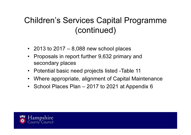# Children's Services Capital Programme (continued)

- 2013 to 2017 8,088 new school places
- Proposals in report further 9,632 primary and secondary places
- Potential basic need projects listed -Table 11
- Where appropriate, alignment of Capital Maintenance
- School Places Plan 2017 to 2021 at Appendix 6

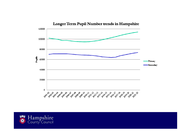

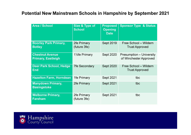#### Potential New Mainstream Schools in Hampshire by September 2021

| <b>Area / School</b>                                | Size & Type of<br><b>School</b> | <b>Proposed</b><br><b>Opening</b><br><b>Date</b> | <b>Sponsor Type &amp; Status</b>                          |
|-----------------------------------------------------|---------------------------------|--------------------------------------------------|-----------------------------------------------------------|
| <b>Boorley Park Primary,</b><br><b>Botley</b>       | 2fe Primary<br>(future 3fe)     | <b>Sept 2019</b>                                 | Free School - Wildern<br><b>Trust Approved</b>            |
| <b>Chestnut Avenue</b><br><b>Primary, Eastleigh</b> | 1 $\frac{1}{2}$ fe Primary      | <b>Sept 2020</b>                                 | <b>Presumption – University</b><br>of Winchester Approved |
| <b>Deer Park School, Hedge</b><br><b>End</b>        | <b>7fe Secondary</b>            | <b>Sept 2020</b>                                 | Free School - Wildern<br><b>Trust Approved</b>            |
| <b>Hazelton Farm, Horndean</b>                      | 1fe Primary                     | <b>Sept 2021</b>                                 | tbc                                                       |
| <b>Manydown Primary,</b><br><b>Basingstoke</b>      | 2fe Primary                     | <b>Sept 2021</b>                                 | tbc                                                       |
| <b>Welborne Primary,</b><br><b>Fareham</b>          | 2fe Primary<br>(future 3fe)     | <b>Sept 2021</b>                                 | tbc                                                       |

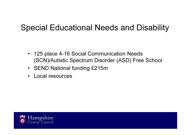# Special Educational Needs and Disability

- 125 place 4-16 Social Communication Needs (SCN)/Autistic Spectrum Disorder (ASD) Free School
- SEND National funding £215m
- •Local resources

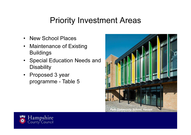### Priority Investment Areas

- •New School Places
- Maintenance of Existing Buildings
- Special Education Needs and**Disability**
- Proposed 3 year programme - Table 5



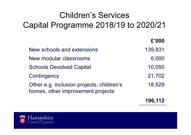# Children's Services Capital Programme 2018/19 to 2020/21

|                                                                                | £'000   |
|--------------------------------------------------------------------------------|---------|
| New schools and extensions                                                     | 139,831 |
| New modular classrooms                                                         | 6,000   |
| <b>Schools Devolved Capital</b>                                                | 10,050  |
| Contingency                                                                    | 21,702  |
| Other e.g. inclusion projects, children's<br>homes, other improvement projects | 18,529  |
|                                                                                |         |

196,112

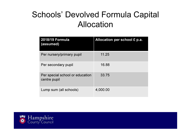# Schools' Devolved Formula Capital Allocation

| 2018/19 Formula<br>(assumed)                    | Allocation per school £ p.a. |
|-------------------------------------------------|------------------------------|
| Per nursery/primary pupil                       | 11.25                        |
| Per secondary pupil                             | 16.88                        |
| Per special school or education<br>centre pupil | 33.75                        |
| Lump sum (all schools)                          | 4,000.00                     |

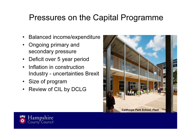# Pressures on the Capital Programme

- •Balanced income/expenditure
- • Ongoing primary and secondary pressure
- •Deficit over 5 year period
- • Inflation in construction Industry - uncertainties Brexit
- Size of program
- Review of CIL by DCLG



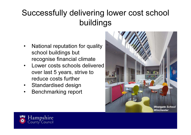# Successfully delivering lower cost school buildings

- $\bullet$  National reputation for quality school buildings but recognise financial climate
- Lower costs schools delivered **over past to the set of the set of the set of the set of the set of the set of the set of the set of the set of the set of the set of the set of the set of the set of the set of the set of** •over last 5 years, strive to reduce costs further
- $\bullet$ Standardised design
- Benchmarking report•



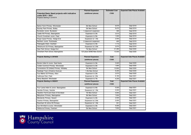| <b>Potential Basic Need projects with indicative</b><br>costs 2018 - 2021<br>Projects Starting in 2018/19 | <b>Planned Expansion</b><br>(additional places) | <b>Estimated Cost</b><br>£'000 | <b>Expected Date Places Available</b> |
|-----------------------------------------------------------------------------------------------------------|-------------------------------------------------|--------------------------------|---------------------------------------|
| Barton Farm Primary, Winchester                                                                           | 2fe New School                                  | 9.575                          | Sept 2019                             |
| Boorley Park Primary, Botley                                                                              | 2fe New School                                  | 6,470                          | Sept 2019                             |
| Bursledon Junior, Bursledon                                                                               | 1 classroom expansion                           | 395                            | Sept 2018                             |
| Castle Hill Primary, Basingstoke                                                                          | Expansion to 2fe                                | 3.510                          | Sept 2019                             |
| Church Crookham Junior, Fleet                                                                             | Expansion to 5fe                                | 1,500                          | Sept 2019                             |
| Kings Copse Primary, Hedge End                                                                            | Expansion to 1.5fe                              | 2,000                          | Sept 2019                             |
| Northern Junior, Portchester                                                                              | 2 classroom expansion                           | 400                            | Sept 2019                             |
| Petersgate Infant, Clanfield                                                                              | Expansion to 3fe                                | 1,714                          | Sept 2019                             |
| Whitchurch CE Primary, Basingstoke                                                                        | Expansion to 2.5fe                              | 2.070                          | Sept 2019                             |
| Deer Park School, Hedge End                                                                               | 7fe New School                                  | 21,480                         | Sept 2020                             |
| Chineham Park School, Basingstoke                                                                         | 125 place SEND New School                       | 13,500                         | Sept 2020                             |
| Projects Starting in 2019/20                                                                              | <b>Planned Expansion</b><br>(additional places) | Cost<br>£'000                  | <b>Expected Date Places Available</b> |
| Bordon Infant & Junior, East Hants                                                                        | Expansion to 3fe                                | 3,440                          | Sept 2020                             |
| Colden Common Primary, Winchester                                                                         | Expansion to 2fe                                | 1,800                          | Sept 2020                             |
| Cornerstone CE (Aided) Primary, Whiteley                                                                  | 3fe New School                                  | 12.800                         | Sept 2020                             |
| Eastleigh Town (Chestnut Avenue)                                                                          | 1.5fe New School                                | 6,200                          | Sept 2020                             |
| Four Marks CE Primary, Alton                                                                              | Expansion to 2fe                                | 2,070                          | Sept 2020                             |
| Calthorpe Park, Fleet                                                                                     | Expansion to 12fe                               | 9,180                          | Sept 2021                             |
| Henry Beaufort, Winchester                                                                                | Expansion to 7fe                                | 4,200                          | Sept 2021                             |
| Projects Starting in 2020/21                                                                              | <b>Planned Expansion</b><br>(additional places) | Cost<br>£'000                  | <b>Expected Date Places Available</b> |
| Four Lanes Infant & Junior, Basingstoke                                                                   | Expansion to 4fe                                | 5.000                          | Sept 2021                             |
| Hamble Primary, Hamble                                                                                    | Expansion to 1.5fe                              | 2,000                          | Sept 2021                             |
| Hazelton Farm/Land East of Horndean                                                                       | 1fe New School                                  | 4,840                          | Sept 2021                             |
| Manydown Primary, Basingstoke                                                                             | 2fe New School                                  | 7.830                          | Sept 2021                             |
| Morelands Primary, Havant                                                                                 | Expansion to 2fe                                | 2,000                          | Sept 2021                             |
| Overton Primary, Basingstoke                                                                              | Expansion to 2.5fe                              | 2,000                          | Sept 2021                             |
| Rownham St Johns CE Primary,                                                                              | Expansion to 1.5fe                              | 551                            | Sept 2021                             |
| Sun Hill Infant & Junior, Winchester                                                                      | Expansion to 3fe                                | 4,000                          | Sept 2021                             |
| Welborne Primary, Fareham                                                                                 | 2fe New School                                  | 7,830                          | Sept 2021                             |

Hampshire<br>County Council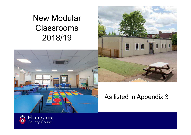# New Modular Classrooms 2018/19





### As listed in Appendix 3